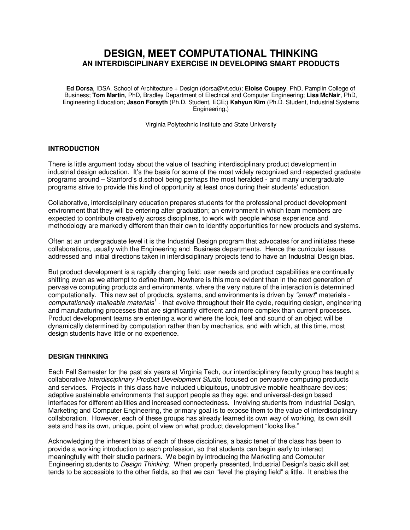# **DESIGN, MEET COMPUTATIONAL THINKING AN INTERDISCIPLINARY EXERCISE IN DEVELOPING SMART PRODUCTS**

**Ed Dorsa**, IDSA, School of Architecture + Design (dorsa@vt.edu); **Eloise Coupey**, PhD, Pamplin College of Business; **Tom Martin**, PhD, Bradley Department of Electrical and Computer Engineering; **Lisa McNair**, PhD, Engineering Education; **Jason Forsyth** (Ph.D. Student, ECE;) **Kahyun Kim** (Ph.D. Student, Industrial Systems Engineering.)

Virginia Polytechnic Institute and State University

### **INTRODUCTION**

There is little argument today about the value of teaching interdisciplinary product development in industrial design education. It's the basis for some of the most widely recognized and respected graduate programs around – Stanford's d.school being perhaps the most heralded - and many undergraduate programs strive to provide this kind of opportunity at least once during their students' education.

Collaborative, interdisciplinary education prepares students for the professional product development environment that they will be entering after graduation; an environment in which team members are expected to contribute creatively across disciplines, to work with people whose experience and methodology are markedly different than their own to identify opportunities for new products and systems.

Often at an undergraduate level it is the Industrial Design program that advocates for and initiates these collaborations, usually with the Engineering and Business departments. Hence the curricular issues addressed and initial directions taken in interdisciplinary projects tend to have an Industrial Design bias.

But product development is a rapidly changing field; user needs and product capabilities are continually shifting even as we attempt to define them. Nowhere is this more evident than in the next generation of pervasive computing products and environments, where the very nature of the interaction is determined computationally. This new set of products, systems, and environments is driven by "smart" materials computationally malleable materials<sup>1</sup> - that evolve throughout their life cycle, requiring design, engineering and manufacturing processes that are significantly different and more complex than current processes. Product development teams are entering a world where the look, feel and sound of an object will be dynamically determined by computation rather than by mechanics, and with which, at this time, most design students have little or no experience.

## **DESIGN THINKING**

Each Fall Semester for the past six years at Virginia Tech, our interdisciplinary faculty group has taught a collaborative Interdisciplinary Product Development Studio, focused on pervasive computing products and services. Projects in this class have included ubiquitous, unobtrusive mobile healthcare devices; adaptive sustainable environments that support people as they age; and universal-design based interfaces for different abilities and increased connectedness. Involving students from Industrial Design, Marketing and Computer Engineering, the primary goal is to expose them to the value of interdisciplinary collaboration. However, each of these groups has already learned its own way of working, its own skill sets and has its own, unique, point of view on what product development "looks like."

Acknowledging the inherent bias of each of these disciplines, a basic tenet of the class has been to provide a working introduction to each profession, so that students can begin early to interact meaningfully with their studio partners. We begin by introducing the Marketing and Computer Engineering students to Design Thinking. When properly presented, Industrial Design's basic skill set tends to be accessible to the other fields, so that we can "level the playing field" a little. It enables the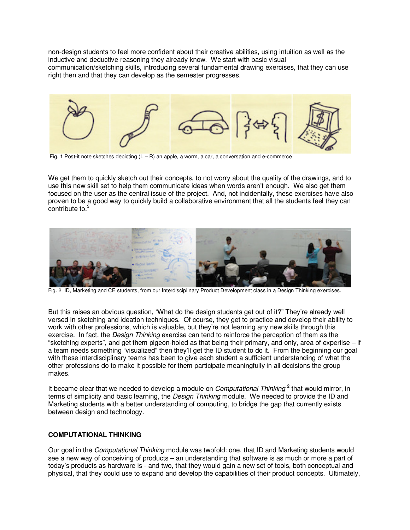non-design students to feel more confident about their creative abilities, using intuition as well as the inductive and deductive reasoning they already know. We start with basic visual communication/sketching skills, introducing several fundamental drawing exercises, that they can use right then and that they can develop as the semester progresses.



Fig. 1 Post-it note sketches depicting  $(L - R)$  an apple, a worm, a car, a conversation and e-commerce

We get them to quickly sketch out their concepts, to not worry about the quality of the drawings, and to use this new skill set to help them communicate ideas when words aren't enough. We also get them focused on the user as the central issue of the project. And, not incidentally, these exercises have also proven to be a good way to quickly build a collaborative environment that all the students feel they can contribute to.<sup>3</sup>



Fig. 2 ID, Marketing and CE students, from our Interdisciplinary Product Development class in a Design Thinking exercises.

But this raises an obvious question, "What do the design students get out of it?" They're already well versed in sketching and ideation techniques. Of course, they get to practice and develop their ability to work with other professions, which is valuable, but they're not learning any new skills through this exercise. In fact, the *Design Thinking* exercise can tend to reinforce the perception of them as the "sketching experts", and get them pigeon-holed as that being their primary, and only, area of expertise – if a team needs something "visualized" then they'll get the ID student to do it. From the beginning our goal with these interdisciplinary teams has been to give each student a sufficient understanding of what the other professions do to make it possible for them participate meaningfully in all decisions the group makes.

It became clear that we needed to develop a module on *Computational Thinking* <sup>2</sup> that would mirror, in terms of simplicity and basic learning, the *Design Thinking* module. We needed to provide the ID and Marketing students with a better understanding of computing, to bridge the gap that currently exists between design and technology.

#### **COMPUTATIONAL THINKING**

Our goal in the Computational Thinking module was twofold: one, that ID and Marketing students would see a new way of conceiving of products – an understanding that software is as much or more a part of today's products as hardware is - and two, that they would gain a new set of tools, both conceptual and physical, that they could use to expand and develop the capabilities of their product concepts. Ultimately,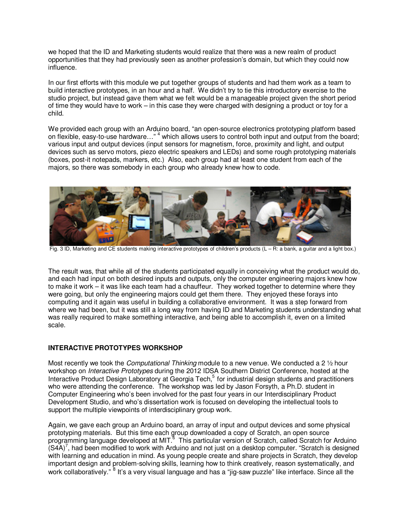we hoped that the ID and Marketing students would realize that there was a new realm of product opportunities that they had previously seen as another profession's domain, but which they could now influence.

In our first efforts with this module we put together groups of students and had them work as a team to build interactive prototypes, in an hour and a half. We didn't try to tie this introductory exercise to the studio project, but instead gave them what we felt would be a manageable project given the short period of time they would have to work – in this case they were charged with designing a product or toy for a child.

We provided each group with an Arduino board, "an open-source electronics prototyping platform based on flexible, easy-to-use hardware..."<sup>4</sup> which allows users to control both input and output from the board; various input and output devices (input sensors for magnetism, force, proximity and light, and output devices such as servo motors, piezo electric speakers and LEDs) and some rough prototyping materials (boxes, post-it notepads, markers, etc.) Also, each group had at least one student from each of the majors, so there was somebody in each group who already knew how to code.



Fig. 3 ID, Marketing and CE students making interactive prototypes of children's products (L – R: a bank, a guitar and a light box.)

The result was, that while all of the students participated equally in conceiving what the product would do, and each had input on both desired inputs and outputs, only the computer engineering majors knew how to make it work – it was like each team had a chauffeur. They worked together to determine where they were going, but only the engineering majors could get them there. They enjoyed these forays into computing and it again was useful in building a collaborative environment. It was a step forward from where we had been, but it was still a long way from having ID and Marketing students understanding what was really required to make something interactive, and being able to accomplish it, even on a limited scale.

## **INTERACTIVE PROTOTYPES WORKSHOP**

Most recently we took the *Computational Thinking* module to a new venue. We conducted a 2  $\frac{1}{2}$  hour workshop on *Interactive Prototypes* during the 2012 IDSA Southern District Conference, hosted at the Interactive Product Design Laboratory at Georgia Tech,<sup>5</sup> for industrial design students and practitioners who were attending the conference. The workshop was led by Jason Forsyth, a Ph.D. student in Computer Engineering who's been involved for the past four years in our Interdisciplinary Product Development Studio, and who's dissertation work is focused on developing the intellectual tools to support the multiple viewpoints of interdisciplinary group work.

Again, we gave each group an Arduino board, an array of input and output devices and some physical prototyping materials. But this time each group downloaded a copy of Scratch, an open source programming language developed at MIT.<sup>6</sup> This particular version of Scratch, called Scratch for Arduino  $(S4A)^7$ , had been modified to work with Arduino and not just on a desktop computer. "Scratch is designed with learning and education in mind. As young people create and share projects in Scratch, they develop important design and problem-solving skills, learning how to think creatively, reason systematically, and work collaboratively." <sup>8</sup> It's a very visual language and has a "jig-saw puzzle" like interface. Since all the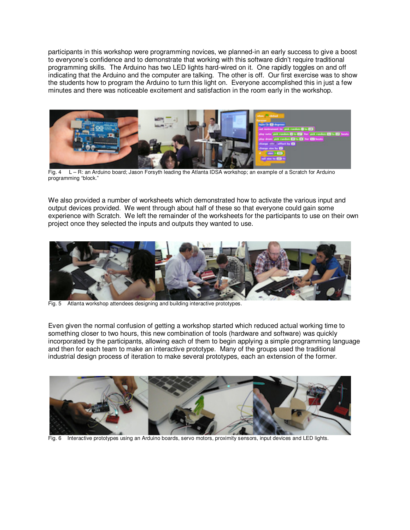participants in this workshop were programming novices, we planned-in an early success to give a boost to everyone's confidence and to demonstrate that working with this software didn't require traditional programming skills. The Arduino has two LED lights hard-wired on it. One rapidly toggles on and off indicating that the Arduino and the computer are talking. The other is off. Our first exercise was to show the students how to program the Arduino to turn this light on. Everyone accomplished this in just a few minutes and there was noticeable excitement and satisfaction in the room early in the workshop.



Fig. 4 L – R: an Arduino board; Jason Forsyth leading the Atlanta IDSA workshop; an example of a Scratch for Arduino programming "block."

We also provided a number of worksheets which demonstrated how to activate the various input and output devices provided. We went through about half of these so that everyone could gain some experience with Scratch. We left the remainder of the worksheets for the participants to use on their own project once they selected the inputs and outputs they wanted to use.



Fig. 5 Atlanta workshop attendees designing and building interactive prototypes.

Even given the normal confusion of getting a workshop started which reduced actual working time to something closer to two hours, this new combination of tools (hardware and software) was quickly incorporated by the participants, allowing each of them to begin applying a simple programming language and then for each team to make an interactive prototype. Many of the groups used the traditional industrial design process of iteration to make several prototypes, each an extension of the former.



Fig. 6 Interactive prototypes using an Arduino boards, servo motors, proximity sensors, input devices and LED lights.